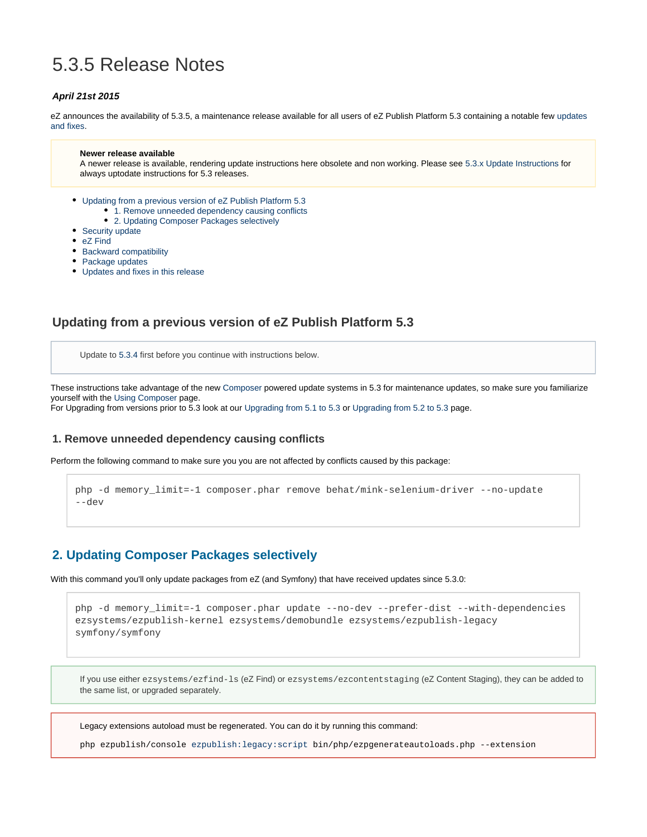# 5.3.5 Release Notes

#### **April 21st 2015**

eZ announces the availability of 5.3.5, a maintenance release available for all users of eZ Publish Platform 5.3 containing a notable few [updates](#page-2-0) [and fixes](#page-2-0).

#### **Newer release available**

A newer release is available, rendering update instructions here obsolete and non working. Please see [5.3.x Update Instructions](https://doc.ez.no/display/EZP/5.3.x+Update+Instructions) for always uptodate instructions for 5.3 releases.

- [Updating from a previous version of eZ Publish Platform 5.3](#page-0-0)
	- 1. Remove unneeded dependency causing conflicts
	- [2. Updating Composer Packages selectively](#page-0-2)
- [Security update](#page-0-3)
- [eZ Find](#page-1-0)
- [Backward compatibility](#page-1-1)
- [Package updates](#page-1-2)
- [Updates and fixes in this release](#page-2-1)

### <span id="page-0-0"></span>**Updating from a previous version of eZ Publish Platform 5.3**

Update to [5.3.4](https://doc.ez.no/display/EZP/5.3.4+Release+Notes) first before you continue with instructions below.

These instructions take advantage of the new [Composer](https://getcomposer.org/) powered update systems in 5.3 for maintenance updates, so make sure you familiarize yourself with the [Using Composer](https://doc.ez.no/display/EZP/Using+Composer) page.

For Upgrading from versions prior to 5.3 look at our [Upgrading from 5.1 to 5.3](https://doc.ez.no/display/EZP/Upgrading+from+5.1+to+5.3) or [Upgrading from 5.2 to 5.3](https://doc.ez.no/display/EZP/Upgrading+from+5.2+to+5.3) page.

#### <span id="page-0-1"></span>**1. Remove unneeded dependency causing conflicts**

Perform the following command to make sure you you are not affected by conflicts caused by this package:

```
php -d memory_limit=-1 composer.phar remove behat/mink-selenium-driver --no-update
--dev
```
### <span id="page-0-2"></span>**2. Updating Composer Packages selectively**

With this command you'll only update packages from eZ (and Symfony) that have received updates since 5.3.0:

```
php -d memory_limit=-1 composer.phar update --no-dev --prefer-dist --with-dependencies
ezsystems/ezpublish-kernel ezsystems/demobundle ezsystems/ezpublish-legacy
symfony/symfony
```
If you use either ezsystems/ezfind-ls (eZ Find) or ezsystems/ezcontentstaging (eZ Content Staging), they can be added to the same list, or upgraded separately.

Legacy extensions autoload must be regenerated. You can do it by running this command:

<span id="page-0-3"></span>php ezpublish/console [ezpublish:legacy:script](http://ezpublishlegacyscript/) bin/php/ezpgenerateautoloads.php --extension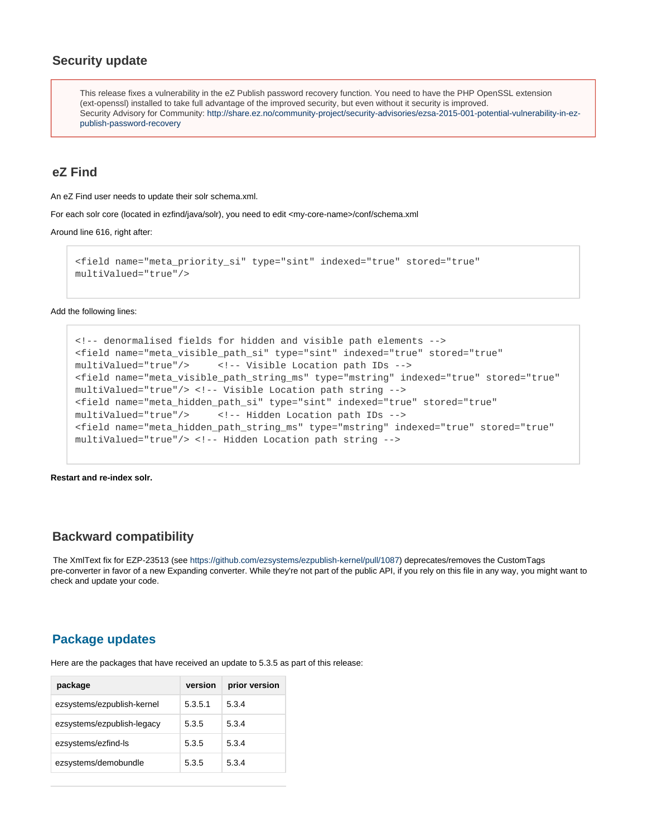### **Security update**

This release fixes a vulnerability in the eZ Publish password recovery function. You need to have the PHP OpenSSL extension (ext-openssl) installed to take full advantage of the improved security, but even without it security is improved. Security Advisory for Community: [http://share.ez.no/community-project/security-advisories/ezsa-2015-001-potential-vulnerability-in-ez](http://share.ez.no/community-project/security-advisories/ezsa-2015-001-potential-vulnerability-in-ez-publish-password-recovery)[publish-password-recovery](http://share.ez.no/community-project/security-advisories/ezsa-2015-001-potential-vulnerability-in-ez-publish-password-recovery)

#### <span id="page-1-0"></span>**eZ Find**

An eZ Find user needs to update their solr schema.xml.

For each solr core (located in ezfind/java/solr), you need to edit <my-core-name>/conf/schema.xml

Around line 616, right after:

```
<field name="meta_priority_si" type="sint" indexed="true" stored="true"
multiValued="true"/>
```
Add the following lines:

```
<!-- denormalised fields for hidden and visible path elements -->
<field name="meta_visible_path_si" type="sint" indexed="true" stored="true"
multiValued="true"/> <!-- Visible Location path IDs -->
<field name="meta_visible_path_string_ms" type="mstring" indexed="true" stored="true"
multiValued="true"/> <!-- Visible Location path string -->
<field name="meta_hidden_path_si" type="sint" indexed="true" stored="true"
multiValued="true"/> <!-- Hidden Location path IDs -->
<field name="meta_hidden_path_string_ms" type="mstring" indexed="true" stored="true"
multiValued="true"/> <!-- Hidden Location path string -->
```
**Restart and re-index solr.**

#### <span id="page-1-1"></span>**Backward compatibility**

The XmlText fix for EZP-23513 (see <https://github.com/ezsystems/ezpublish-kernel/pull/1087>) deprecates/removes the CustomTags pre-converter in favor of a new Expanding converter. While they're not part of the public API, if you rely on this file in any way, you might want to check and update your code.

### <span id="page-1-2"></span>**Package updates**

Here are the packages that have received an update to 5.3.5 as part of this release:

| package                    | version | prior version |
|----------------------------|---------|---------------|
| ezsystems/ezpublish-kernel | 5.3.5.1 | 5.3.4         |
| ezsystems/ezpublish-legacy | 5.3.5   | 5.3.4         |
| ezsystems/ezfind-ls        | 5.3.5   | 5.3.4         |
| ezsystems/demobundle       | 5.3.5   | 5.3.4         |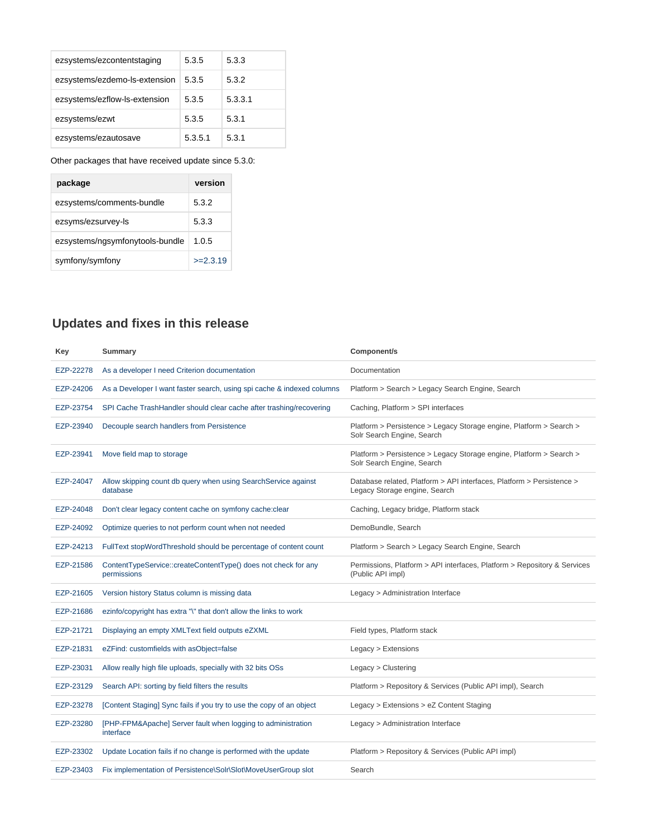| ezsystems/ezcontentstaging    | 5.3.5   | 5.3.3   |
|-------------------------------|---------|---------|
| ezsystems/ezdemo-ls-extension | 5.3.5   | 5.3.2   |
| ezsystems/ezflow-ls-extension | 5.3.5   | 5.3.3.1 |
| ezsystems/ezwt                | 5.3.5   | 5.3.1   |
| ezsystems/ezautosave          | 5.3.5.1 | 5.3.1   |

#### Other packages that have received update since 5.3.0:

| package                         | version    |
|---------------------------------|------------|
| ezsystems/comments-bundle       | 5.3.2      |
| ezsyms/ezsurvey-ls              | 5.3.3      |
| ezsystems/ngsymfonytools-bundle | 1.0.5      |
| symfony/symfony                 | $>=2.3.19$ |

## <span id="page-2-1"></span><span id="page-2-0"></span>**Updates and fixes in this release**

| Key       | Summary                                                                       | Component/s                                                                                            |
|-----------|-------------------------------------------------------------------------------|--------------------------------------------------------------------------------------------------------|
| EZP-22278 | As a developer I need Criterion documentation                                 | Documentation                                                                                          |
| EZP-24206 | As a Developer I want faster search, using spi cache & indexed columns        | Platform > Search > Legacy Search Engine, Search                                                       |
| EZP-23754 | SPI Cache TrashHandler should clear cache after trashing/recovering           | Caching, Platform > SPI interfaces                                                                     |
| EZP-23940 | Decouple search handlers from Persistence                                     | Platform > Persistence > Legacy Storage engine, Platform > Search ><br>Solr Search Engine, Search      |
| EZP-23941 | Move field map to storage                                                     | Platform > Persistence > Legacy Storage engine, Platform > Search ><br>Solr Search Engine, Search      |
| EZP-24047 | Allow skipping count db query when using SearchService against<br>database    | Database related, Platform > API interfaces, Platform > Persistence ><br>Legacy Storage engine, Search |
| EZP-24048 | Don't clear legacy content cache on symfony cache: clear                      | Caching, Legacy bridge, Platform stack                                                                 |
| EZP-24092 | Optimize queries to not perform count when not needed                         | DemoBundle, Search                                                                                     |
| EZP-24213 | FullText stopWordThreshold should be percentage of content count              | Platform > Search > Legacy Search Engine, Search                                                       |
| EZP-21586 | ContentTypeService::createContentType() does not check for any<br>permissions | Permissions, Platform > API interfaces, Platform > Repository & Services<br>(Public API impl)          |
| EZP-21605 | Version history Status column is missing data                                 | Legacy > Administration Interface                                                                      |
| EZP-21686 | ezinfo/copyright has extra "\" that don't allow the links to work             |                                                                                                        |
| EZP-21721 | Displaying an empty XMLText field outputs eZXML                               | Field types, Platform stack                                                                            |
| EZP-21831 | eZFind: customfields with asObject=false                                      | Legacy > Extensions                                                                                    |
| EZP-23031 | Allow really high file uploads, specially with 32 bits OSs                    | Legacy > Clustering                                                                                    |
| EZP-23129 | Search API: sorting by field filters the results                              | Platform > Repository & Services (Public API impl), Search                                             |
| EZP-23278 | [Content Staging] Sync fails if you try to use the copy of an object          | Legacy > Extensions > eZ Content Staging                                                               |
| EZP-23280 | [PHP-FPM&Apache] Server fault when logging to administration<br>interface     | Legacy > Administration Interface                                                                      |
| EZP-23302 | Update Location fails if no change is performed with the update               | Platform > Repository & Services (Public API impl)                                                     |
| EZP-23403 | Fix implementation of Persistence\Solr\Slot\MoveUserGroup slot                | Search                                                                                                 |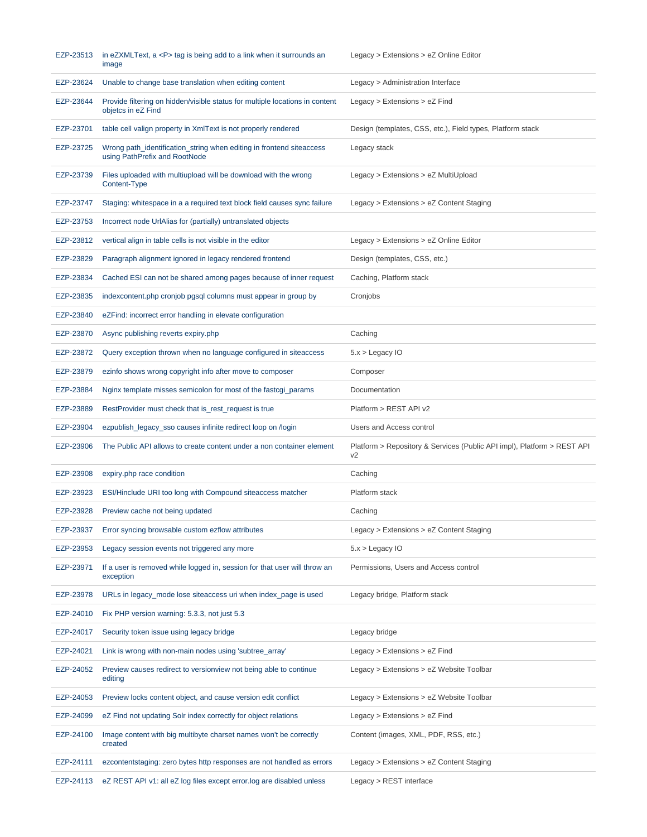| EZP-23513 | in eZXMLText, a <p> tag is being add to a link when it surrounds an<br/>image</p>                     | Legacy > Extensions > eZ Online Editor                                                    |
|-----------|-------------------------------------------------------------------------------------------------------|-------------------------------------------------------------------------------------------|
| EZP-23624 | Unable to change base translation when editing content                                                | Legacy > Administration Interface                                                         |
| EZP-23644 | Provide filtering on hidden/visible status for multiple locations in content<br>objetcs in eZ Find    | Legacy $>$ Extensions $>$ eZ Find                                                         |
| EZP-23701 | table cell valign property in XmIText is not properly rendered                                        | Design (templates, CSS, etc.), Field types, Platform stack                                |
| EZP-23725 | Wrong path_identification_string when editing in frontend siteaccess<br>using PathPrefix and RootNode | Legacy stack                                                                              |
| EZP-23739 | Files uploaded with multiupload will be download with the wrong<br>Content-Type                       | $Legacy > Extensions > eZ$ MultiUpload                                                    |
| EZP-23747 | Staging: whitespace in a a required text block field causes sync failure                              | Legacy > Extensions > eZ Content Staging                                                  |
| EZP-23753 | Incorrect node UrlAlias for (partially) untranslated objects                                          |                                                                                           |
| EZP-23812 | vertical align in table cells is not visible in the editor                                            | Legacy > Extensions > eZ Online Editor                                                    |
| EZP-23829 | Paragraph alignment ignored in legacy rendered frontend                                               | Design (templates, CSS, etc.)                                                             |
| EZP-23834 | Cached ESI can not be shared among pages because of inner request                                     | Caching, Platform stack                                                                   |
| EZP-23835 | indexcontent.php cronjob pgsql columns must appear in group by                                        | Cronjobs                                                                                  |
| EZP-23840 | eZFind: incorrect error handling in elevate configuration                                             |                                                                                           |
| EZP-23870 | Async publishing reverts expiry.php                                                                   | Caching                                                                                   |
| EZP-23872 | Query exception thrown when no language configured in site access                                     | $5.x >$ Legacy IO                                                                         |
| EZP-23879 | ezinfo shows wrong copyright info after move to composer                                              | Composer                                                                                  |
| EZP-23884 | Nginx template misses semicolon for most of the fastcgi_params                                        | Documentation                                                                             |
| EZP-23889 | RestProvider must check that is_rest_request is true                                                  | Platform > REST API v2                                                                    |
| EZP-23904 | ezpublish_legacy_sso causes infinite redirect loop on /login                                          | Users and Access control                                                                  |
|           |                                                                                                       |                                                                                           |
| EZP-23906 | The Public API allows to create content under a non container element                                 | Platform > Repository & Services (Public API impl), Platform > REST API<br>V <sub>2</sub> |
| EZP-23908 | expiry.php race condition                                                                             | Caching                                                                                   |
| EZP-23923 | ESI/Hinclude URI too long with Compound site access matcher                                           | Platform stack                                                                            |
| EZP-23928 | Preview cache not being updated                                                                       | Caching                                                                                   |
| EZP-23937 | Error syncing browsable custom ezflow attributes                                                      | Legacy > Extensions > eZ Content Staging                                                  |
| EZP-23953 | Legacy session events not triggered any more                                                          | $5.x >$ Legacy IO                                                                         |
| EZP-23971 | If a user is removed while logged in, session for that user will throw an<br>exception                | Permissions, Users and Access control                                                     |
| EZP-23978 | URLs in legacy_mode lose siteaccess uri when index_page is used                                       | Legacy bridge, Platform stack                                                             |
| EZP-24010 | Fix PHP version warning: 5.3.3, not just 5.3                                                          |                                                                                           |
| EZP-24017 | Security token issue using legacy bridge                                                              | Legacy bridge                                                                             |
| EZP-24021 | Link is wrong with non-main nodes using 'subtree_array'                                               | Legacy $>$ Extensions $>$ eZ Find                                                         |
| EZP-24052 | Preview causes redirect to version view not being able to continue<br>editing                         | Legacy > Extensions > eZ Website Toolbar                                                  |
| EZP-24053 | Preview locks content object, and cause version edit conflict                                         | Legacy > Extensions > eZ Website Toolbar                                                  |
| EZP-24099 | eZ Find not updating Solr index correctly for object relations                                        | Legacy $>$ Extensions $>$ eZ Find                                                         |
| EZP-24100 | Image content with big multibyte charset names won't be correctly<br>created                          | Content (images, XML, PDF, RSS, etc.)                                                     |
| EZP-24111 | ezcontentstaging: zero bytes http responses are not handled as errors                                 | Legacy > Extensions > eZ Content Staging                                                  |